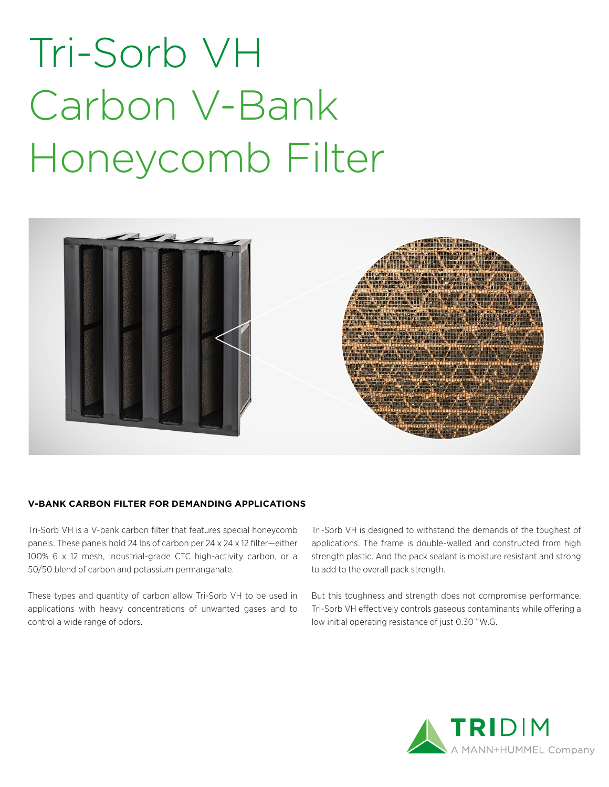# Tri-Sorb VH Carbon V-Bank Honeycomb Filter



#### **V-BANK CARBON FILTER FOR DEMANDING APPLICATIONS**

Tri-Sorb VH is a V-bank carbon filter that features special honeycomb panels. These panels hold 24 lbs of carbon per 24 x 24 x 12 filter—either 100% 6 x 12 mesh, industrial-grade CTC high-activity carbon, or a 50/50 blend of carbon and potassium permanganate.

These types and quantity of carbon allow Tri-Sorb VH to be used in applications with heavy concentrations of unwanted gases and to control a wide range of odors.

Tri-Sorb VH is designed to withstand the demands of the toughest of applications. The frame is double-walled and constructed from high strength plastic. And the pack sealant is moisture resistant and strong to add to the overall pack strength.

But this toughness and strength does not compromise performance. Tri-Sorb VH effectively controls gaseous contaminants while offering a low initial operating resistance of just 0.30 "W.G.